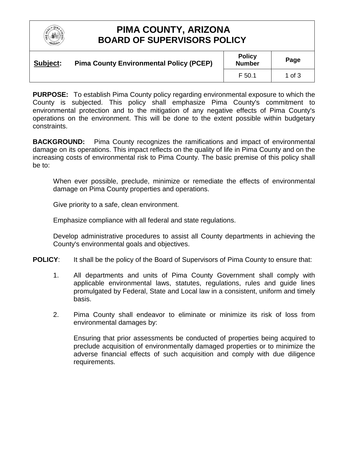

## **PIMA COUNTY, ARIZONA BOARD OF SUPERVISORS POLICY**

| Subject: | <b>Pima County Environmental Policy (PCEP)</b> | <b>Policy</b><br><b>Number</b> | Page     |
|----------|------------------------------------------------|--------------------------------|----------|
|          |                                                | F 50.1                         | 1 of $3$ |

**PURPOSE:** To establish Pima County policy regarding environmental exposure to which the County is subjected. This policy shall emphasize Pima County's commitment to environmental protection and to the mitigation of any negative effects of Pima County's operations on the environment. This will be done to the extent possible within budgetary constraints.

**BACKGROUND:** Pima County recognizes the ramifications and impact of environmental damage on its operations. This impact reflects on the quality of life in Pima County and on the increasing costs of environmental risk to Pima County. The basic premise of this policy shall be to:

When ever possible, preclude, minimize or remediate the effects of environmental damage on Pima County properties and operations.

Give priority to a safe, clean environment.

Emphasize compliance with all federal and state regulations.

Develop administrative procedures to assist all County departments in achieving the County's environmental goals and objectives.

- **POLICY:** It shall be the policy of the Board of Supervisors of Pima County to ensure that:
	- 1. All departments and units of Pima County Government shall comply with applicable environmental laws, statutes, regulations, rules and guide lines promulgated by Federal, State and Local law in a consistent, uniform and timely basis.
	- 2. Pima County shall endeavor to eliminate or minimize its risk of loss from environmental damages by:

Ensuring that prior assessments be conducted of properties being acquired to preclude acquisition of environmentally damaged properties or to minimize the adverse financial effects of such acquisition and comply with due diligence requirements.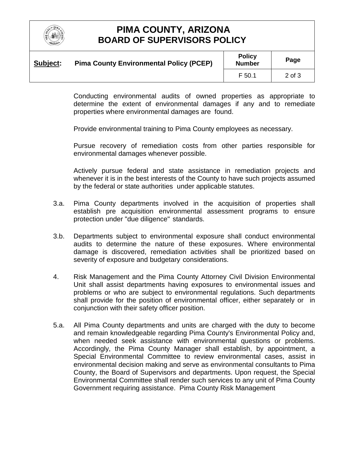

## **PIMA COUNTY, ARIZONA BOARD OF SUPERVISORS POLICY**

| Subject: | <b>Pima County Environmental Policy (PCEP)</b> | <b>Policy</b><br><b>Number</b> | Page   |
|----------|------------------------------------------------|--------------------------------|--------|
|          |                                                | F 50.1                         | 2 of 3 |

Conducting environmental audits of owned properties as appropriate to determine the extent of environmental damages if any and to remediate properties where environmental damages are found.

Provide environmental training to Pima County employees as necessary.

Pursue recovery of remediation costs from other parties responsible for environmental damages whenever possible.

Actively pursue federal and state assistance in remediation projects and whenever it is in the best interests of the County to have such projects assumed by the federal or state authorities under applicable statutes.

- 3.a. Pima County departments involved in the acquisition of properties shall establish pre acquisition environmental assessment programs to ensure protection under "due diligence" standards.
- 3.b. Departments subject to environmental exposure shall conduct environmental audits to determine the nature of these exposures. Where environmental damage is discovered, remediation activities shall be prioritized based on severity of exposure and budgetary considerations.
- 4. Risk Management and the Pima County Attorney Civil Division Environmental Unit shall assist departments having exposures to environmental issues and problems or who are subject to environmental regulations. Such departments shall provide for the position of environmental officer, either separately or in conjunction with their safety officer position.
- 5.a. All Pima County departments and units are charged with the duty to become and remain knowledgeable regarding Pima County's Environmental Policy and, when needed seek assistance with environmental questions or problems. Accordingly, the Pima County Manager shall establish, by appointment, a Special Environmental Committee to review environmental cases, assist in environmental decision making and serve as environmental consultants to Pima County, the Board of Supervisors and departments. Upon request, the Special Environmental Committee shall render such services to any unit of Pima County Government requiring assistance. Pima County Risk Management